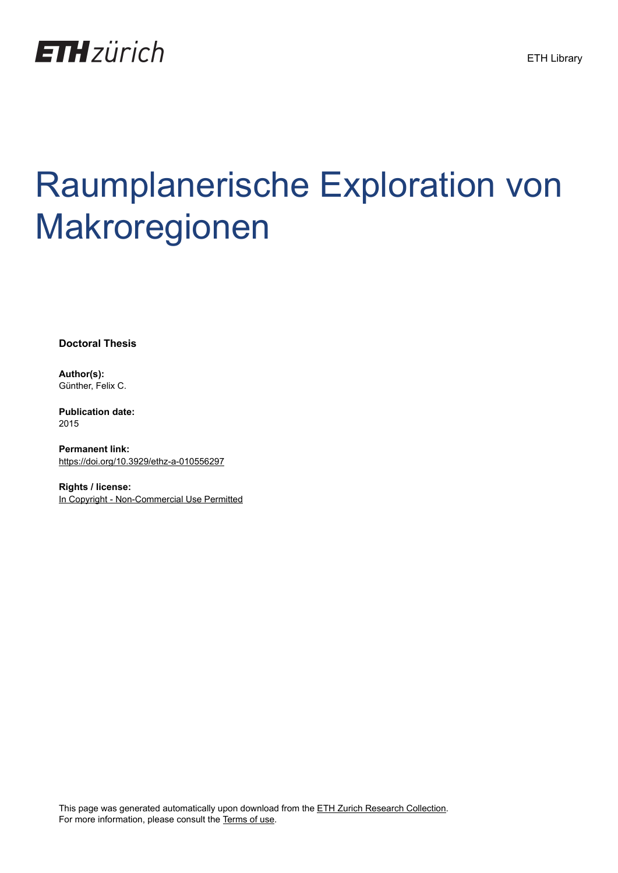

# Raumplanerische Exploration von Makroregionen

**Doctoral Thesis**

**Author(s):** Günther, Felix C.

**Publication date:** 2015

**Permanent link:** <https://doi.org/10.3929/ethz-a-010556297>

**Rights / license:** [In Copyright - Non-Commercial Use Permitted](http://rightsstatements.org/page/InC-NC/1.0/)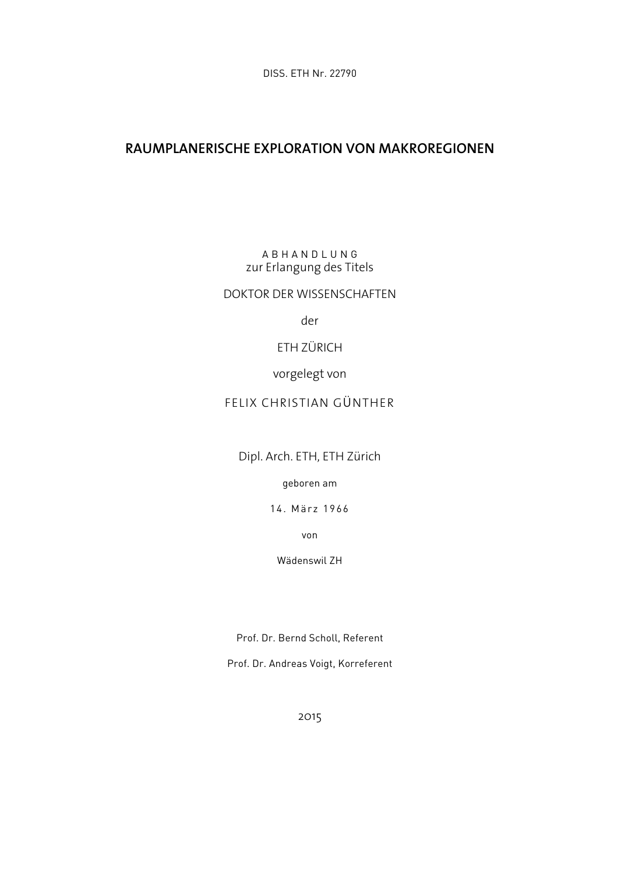### **RAUMPLANERISCHE EXPLORATION VON MAKROREGIONEN**

A B H A N D L U N G zur Erlangung des Titels

DOKTOR DER WISSENSCHAFTEN

der

ETH ZÜRICH

vorgelegt von

#### FELIX CHRISTIAN GÜNTHER

Dipl. Arch. ETH, ETH Zürich

geboren am

14. März 1966

von

Wädenswil ZH

Prof. Dr. Bernd Scholl, Referent

Prof. Dr. Andreas Voigt, Korreferent

2015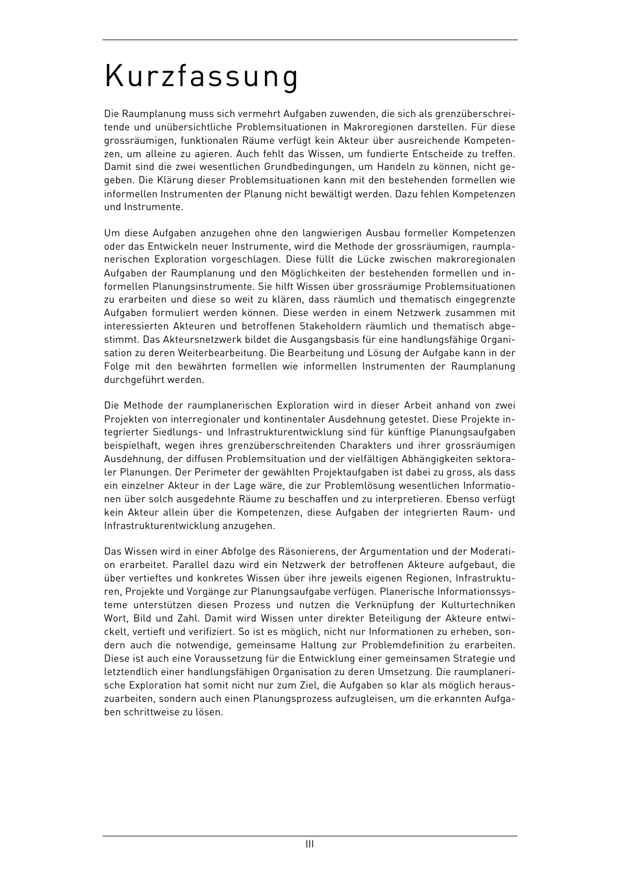## Kurzfassung

Die Raumplanung muss sich vermehrt Aufgaben zuwenden, die sich als grenzüberschreitende und unübersichtliche Problemsituationen in Makroregionen darstellen. Für diese grossräumigen, funktionalen Räume verfügt kein Akteur über ausreichende Kompetenzen, um alleine zu agieren. Auch fehlt das Wissen, um fundierte Entscheide zu treffen. Damit sind die zwei wesentlichen Grundbedingungen, um Handeln zu können, nicht gegeben. Die Klärung dieser Problemsituationen kann mit den bestehenden formellen wie informellen Instrumenten der Planung nicht bewältigt werden. Dazu fehlen Kompetenzen und Instrumente.

Um diese Aufgaben anzugehen ohne den langwierigen Ausbau formeller Kompetenzen oder das Entwickeln neuer Instrumente, wird die Methode der grossräumigen, raumplanerischen Exploration vorgeschlagen. Diese füllt die Lücke zwischen makroregionalen Aufgaben der Raumplanung und den Möglichkeiten der bestehenden formellen und informellen Planungsinstrumente. Sie hilft Wissen über grossräumige Problemsituationen zu erarbeiten und diese so weit zu klären, dass räumlich und thematisch eingegrenzte Aufgaben formuliert werden können. Diese werden in einem Netzwerk zusammen mit interessierten Akteuren und betroffenen Stakeholdern räumlich und thematisch abgestimmt. Das Akteursnetzwerk bildet die Ausgangsbasis für eine handlungsfähige Organisation zu deren Weiterbearbeitung. Die Bearbeitung und Lösung der Aufgabe kann in der Folge mit den bewährten formellen wie informellen Instrumenten der Raumplanung durchgeführt werden.

Die Methode der raumplanerischen Exploration wird in dieser Arbeit anhand von zwei Projekten von interregionaler und kontinentaler Ausdehnung getestet. Diese Projekte integrierter Siedlungs- und Infrastrukturentwicklung sind für künftige Planungsaufgaben beispielhaft, wegen ihres grenzüberschreitenden Charakters und ihrer grossräumigen Ausdehnung, der diffusen Problemsituation und der vielfältigen Abhängigkeiten sektoraler Planungen. Der Perimeter der gewählten Projektaufgaben ist dabei zu gross, als dass ein einzelner Akteur in der Lage wäre, die zur Problemlösung wesentlichen Informationen über solch ausgedehnte Räume zu beschaffen und zu interpretieren. Ebenso verfügt kein Akteur allein über die Kompetenzen, diese Aufgaben der integrierten Raum- und Infrastrukturentwicklung anzugehen.

Das Wissen wird in einer Abfolge des Räsonierens, der Argumentation und der Moderation erarbeitet. Parallel dazu wird ein Netzwerk der betroffenen Akteure aufgebaut, die über vertieftes und konkretes Wissen über ihre jeweils eigenen Regionen, Infrastrukturen, Projekte und Vorgänge zur Planungsaufgabe verfügen. Planerische Informationssysteme unterstützen diesen Prozess und nutzen die Verknüpfung der Kulturtechniken Wort, Bild und Zahl. Damit wird Wissen unter direkter Beteiligung der Akteure entwickelt, vertieft und verifiziert. So ist es möglich, nicht nur Informationen zu erheben, sondern auch die notwendige, gemeinsame Haltung zur Problemdefinition zu erarbeiten. Diese ist auch eine Voraussetzung für die Entwicklung einer gemeinsamen Strategie und letztendlich einer handlungsfähigen Organisation zu deren Umsetzung. Die raumplanerische Exploration hat somit nicht nur zum Ziel, die Aufgaben so klar als möglich herauszuarbeiten, sondern auch einen Planungsprozess aufzugleisen, um die erkannten Aufgaben schrittweise zu lösen.